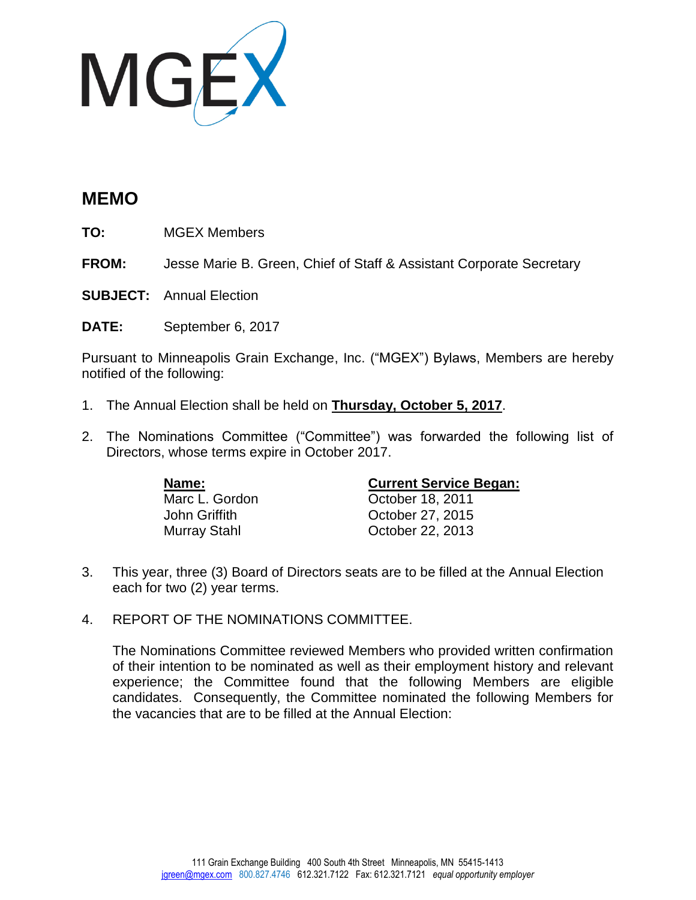

## **MEMO**

**TO:** MGEX Members

**FROM:** Jesse Marie B. Green, Chief of Staff & Assistant Corporate Secretary

**SUBJECT:** Annual Election

**DATE:** September 6, 2017

Pursuant to Minneapolis Grain Exchange, Inc. ("MGEX") Bylaws, Members are hereby notified of the following:

- 1. The Annual Election shall be held on **Thursday, October 5, 2017**.
- 2. The Nominations Committee ("Committee") was forwarded the following list of Directors, whose terms expire in October 2017.

| Name:          | <b>Current Service Began:</b> |
|----------------|-------------------------------|
| Marc L. Gordon | October 18, 2011              |
| John Griffith  | October 27, 2015              |
| Murray Stahl   | October 22, 2013              |

- 3. This year, three (3) Board of Directors seats are to be filled at the Annual Election each for two (2) year terms.
- 4. REPORT OF THE NOMINATIONS COMMITTEE.

The Nominations Committee reviewed Members who provided written confirmation of their intention to be nominated as well as their employment history and relevant experience; the Committee found that the following Members are eligible candidates. Consequently, the Committee nominated the following Members for the vacancies that are to be filled at the Annual Election: